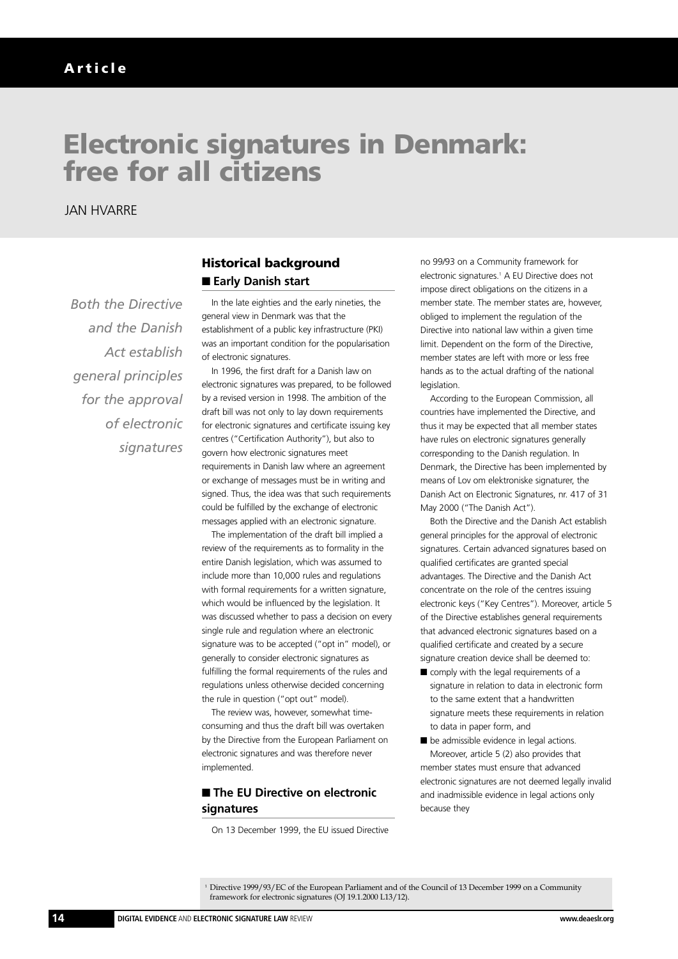# **Electronic signatures in Denmark: free for all citizens**

## JAN HVARRE

*Both the Directive and the Danish Act establish general principles for the approval of electronic signatures*

# **Historical background**  ■ **Early Danish start**

In the late eighties and the early nineties, the general view in Denmark was that the establishment of a public key infrastructure (PKI) was an important condition for the popularisation of electronic signatures.

In 1996, the first draft for a Danish law on electronic signatures was prepared, to be followed by a revised version in 1998. The ambition of the draft bill was not only to lay down requirements for electronic signatures and certificate issuing key centres ("Certification Authority"), but also to govern how electronic signatures meet requirements in Danish law where an agreement or exchange of messages must be in writing and signed. Thus, the idea was that such requirements could be fulfilled by the exchange of electronic messages applied with an electronic signature.

The implementation of the draft bill implied a review of the requirements as to formality in the entire Danish legislation, which was assumed to include more than 10,000 rules and regulations with formal requirements for a written signature, which would be influenced by the legislation. It was discussed whether to pass a decision on every single rule and regulation where an electronic signature was to be accepted ("opt in" model), or generally to consider electronic signatures as fulfilling the formal requirements of the rules and regulations unless otherwise decided concerning the rule in question ("opt out" model).

The review was, however, somewhat timeconsuming and thus the draft bill was overtaken by the Directive from the European Parliament on electronic signatures and was therefore never implemented.

## ■ **The EU Directive on electronic signatures**

On 13 December 1999, the EU issued Directive

no 99/93 on a Community framework for electronic signatures.<sup>1</sup> A EU Directive does not impose direct obligations on the citizens in a member state. The member states are, however, obliged to implement the regulation of the Directive into national law within a given time limit. Dependent on the form of the Directive, member states are left with more or less free hands as to the actual drafting of the national legislation.

According to the European Commission, all countries have implemented the Directive, and thus it may be expected that all member states have rules on electronic signatures generally corresponding to the Danish regulation. In Denmark, the Directive has been implemented by means of Lov om elektroniske signaturer, the Danish Act on Electronic Signatures, nr. 417 of 31 May 2000 ("The Danish Act").

Both the Directive and the Danish Act establish general principles for the approval of electronic signatures. Certain advanced signatures based on qualified certificates are granted special advantages. The Directive and the Danish Act concentrate on the role of the centres issuing electronic keys ("Key Centres"). Moreover, article 5 of the Directive establishes general requirements that advanced electronic signatures based on a qualified certificate and created by a secure signature creation device shall be deemed to:

- comply with the legal requirements of a signature in relation to data in electronic form to the same extent that a handwritten signature meets these requirements in relation to data in paper form, and
- be admissible evidence in legal actions. Moreover, article 5 (2) also provides that member states must ensure that advanced electronic signatures are not deemed legally invalid and inadmissible evidence in legal actions only because they

<sup>1</sup> Directive 1999/93/EC of the European Parliament and of the Council of 13 December 1999 on a Community framework for electronic signatures (OJ 19.1.2000 L13/12).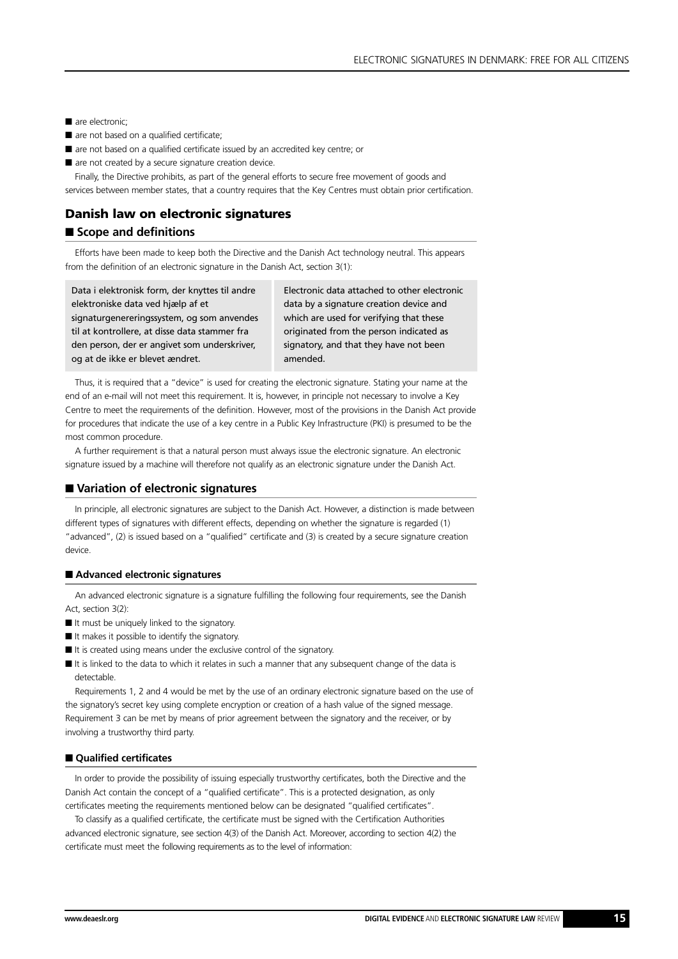- are electronic:
- are not based on a qualified certificate;
- are not based on a qualified certificate issued by an accredited key centre; or
- are not created by a secure signature creation device.

Finally, the Directive prohibits, as part of the general efforts to secure free movement of goods and services between member states, that a country requires that the Key Centres must obtain prior certification.

#### **Danish law on electronic signatures**

#### ■ **Scope and definitions**

Efforts have been made to keep both the Directive and the Danish Act technology neutral. This appears from the definition of an electronic signature in the Danish Act, section 3(1):

Data i elektronisk form, der knyttes til andre elektroniske data ved hjælp af et signaturgenereringssystem, og som anvendes til at kontrollere, at disse data stammer fra den person, der er angivet som underskriver, og at de ikke er blevet ændret.

Electronic data attached to other electronic data by a signature creation device and which are used for verifying that these originated from the person indicated as signatory, and that they have not been amended.

Thus, it is required that a "device" is used for creating the electronic signature. Stating your name at the end of an e-mail will not meet this requirement. It is, however, in principle not necessary to involve a Key Centre to meet the requirements of the definition. However, most of the provisions in the Danish Act provide for procedures that indicate the use of a key centre in a Public Key Infrastructure (PKI) is presumed to be the most common procedure.

A further requirement is that a natural person must always issue the electronic signature. An electronic signature issued by a machine will therefore not qualify as an electronic signature under the Danish Act.

#### ■ **Variation of electronic signatures**

In principle, all electronic signatures are subject to the Danish Act. However, a distinction is made between different types of signatures with different effects, depending on whether the signature is regarded (1) "advanced", (2) is issued based on a "qualified" certificate and (3) is created by a secure signature creation device.

#### ■ **Advanced electronic signatures**

An advanced electronic signature is a signature fulfilling the following four requirements, see the Danish Act, section 3(2):

- It must be uniquely linked to the signatory.
- It makes it possible to identify the signatory.
- It is created using means under the exclusive control of the signatory.
- It is linked to the data to which it relates in such a manner that any subsequent change of the data is detectable.

Requirements 1, 2 and 4 would be met by the use of an ordinary electronic signature based on the use of the signatory's secret key using complete encryption or creation of a hash value of the signed message. Requirement 3 can be met by means of prior agreement between the signatory and the receiver, or by involving a trustworthy third party.

#### ■ **Qualified certificates**

In order to provide the possibility of issuing especially trustworthy certificates, both the Directive and the Danish Act contain the concept of a "qualified certificate". This is a protected designation, as only certificates meeting the requirements mentioned below can be designated "qualified certificates".

To classify as a qualified certificate, the certificate must be signed with the Certification Authorities advanced electronic signature, see section 4(3) of the Danish Act. Moreover, according to section 4(2) the certificate must meet the following requirements as to the level of information: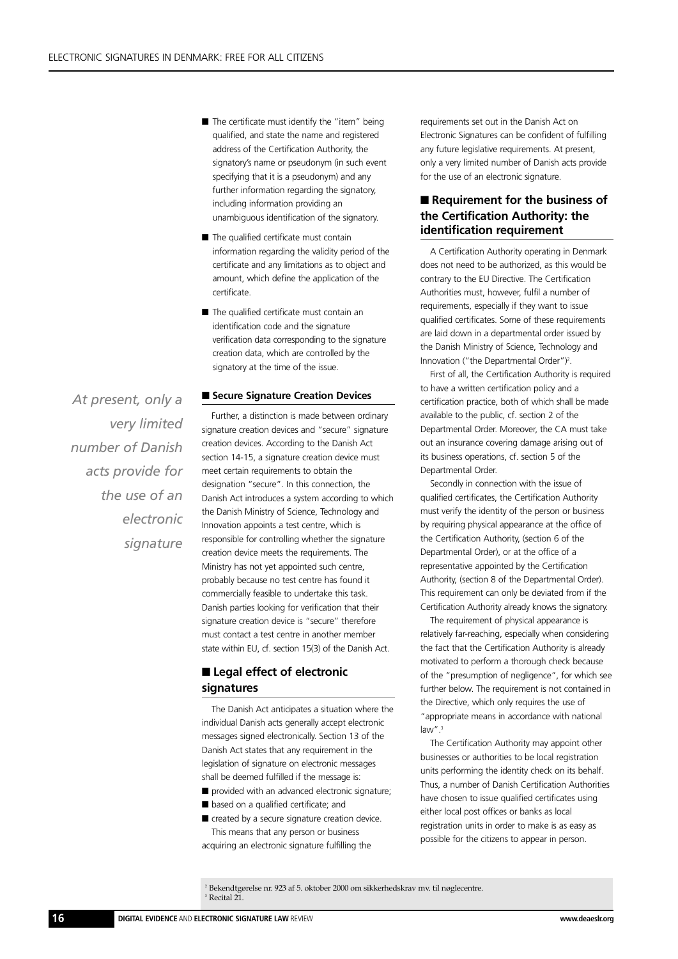- The certificate must identify the "item" being qualified, and state the name and registered address of the Certification Authority, the signatory's name or pseudonym (in such event specifying that it is a pseudonym) and any further information regarding the signatory, including information providing an unambiguous identification of the signatory.
- The qualified certificate must contain information regarding the validity period of the certificate and any limitations as to object and amount, which define the application of the certificate.
- The qualified certificate must contain an identification code and the signature verification data corresponding to the signature creation data, which are controlled by the signatory at the time of the issue.

#### ■ Secure Signature Creation Devices

Further, a distinction is made between ordinary signature creation devices and "secure" signature creation devices. According to the Danish Act section 14-15, a signature creation device must meet certain requirements to obtain the designation "secure". In this connection, the Danish Act introduces a system according to which the Danish Ministry of Science, Technology and Innovation appoints a test centre, which is responsible for controlling whether the signature creation device meets the requirements. The Ministry has not yet appointed such centre, probably because no test centre has found it commercially feasible to undertake this task. Danish parties looking for verification that their signature creation device is "secure" therefore must contact a test centre in another member state within EU, cf. section 15(3) of the Danish Act.

## ■ **Legal effect of electronic signatures**

The Danish Act anticipates a situation where the individual Danish acts generally accept electronic messages signed electronically. Section 13 of the Danish Act states that any requirement in the legislation of signature on electronic messages shall be deemed fulfilled if the message is:

- provided with an advanced electronic signature;
- based on a qualified certificate; and
- created by a secure signature creation device. This means that any person or business acquiring an electronic signature fulfilling the

requirements set out in the Danish Act on Electronic Signatures can be confident of fulfilling any future legislative requirements. At present, only a very limited number of Danish acts provide for the use of an electronic signature.

## ■ **Requirement for the business of the Certification Authority: the identification requirement**

A Certification Authority operating in Denmark does not need to be authorized, as this would be contrary to the EU Directive. The Certification Authorities must, however, fulfil a number of requirements, especially if they want to issue qualified certificates. Some of these requirements are laid down in a departmental order issued by the Danish Ministry of Science, Technology and Innovation ("the Departmental Order")2 .

First of all, the Certification Authority is required to have a written certification policy and a certification practice, both of which shall be made available to the public, cf. section 2 of the Departmental Order. Moreover, the CA must take out an insurance covering damage arising out of its business operations, cf. section 5 of the Departmental Order.

Secondly in connection with the issue of qualified certificates, the Certification Authority must verify the identity of the person or business by requiring physical appearance at the office of the Certification Authority, (section 6 of the Departmental Order), or at the office of a representative appointed by the Certification Authority, (section 8 of the Departmental Order). This requirement can only be deviated from if the Certification Authority already knows the signatory.

The requirement of physical appearance is relatively far-reaching, especially when considering the fact that the Certification Authority is already motivated to perform a thorough check because of the "presumption of negligence", for which see further below. The requirement is not contained in the Directive, which only requires the use of "appropriate means in accordance with national law"<sup>3</sup>

The Certification Authority may appoint other businesses or authorities to be local registration units performing the identity check on its behalf. Thus, a number of Danish Certification Authorities have chosen to issue qualified certificates using either local post offices or banks as local registration units in order to make is as easy as possible for the citizens to appear in person.

<sup>2</sup> Bekendtgørelse nr. 923 af 5. oktober 2000 om sikkerhedskrav mv. til nøglecentre.  $3$  Recital  $21$ .

*At present, only a very limited number of Danish acts provide for the use of an electronic signature*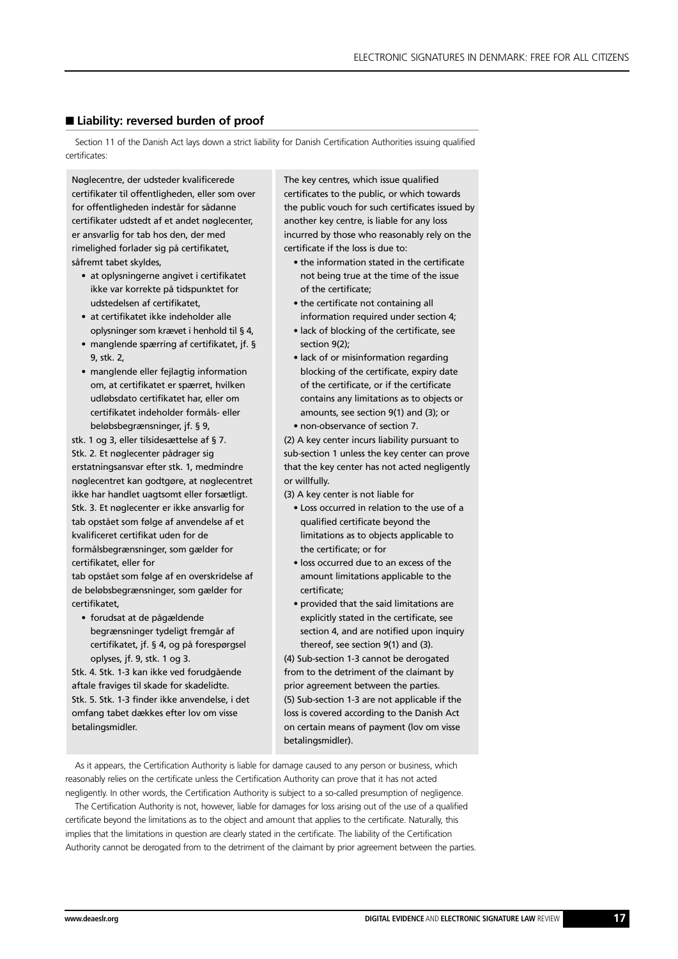### ■ Liability: reversed burden of proof

Section 11 of the Danish Act lays down a strict liability for Danish Certification Authorities issuing qualified certificates:

Nøglecentre, der udsteder kvalificerede certifikater til offentligheden, eller som over for offentligheden indestår for sådanne certifikater udstedt af et andet nøglecenter, er ansvarlig for tab hos den, der med rimelighed forlader sig på certifikatet, såfremt tabet skyldes,

- at oplysningerne angivet i certifikatet ikke var korrekte på tidspunktet for udstedelsen af certifikatet,
- at certifikatet ikke indeholder alle oplysninger som krævet i henhold til § 4,
- manglende spærring af certifikatet, jf. § 9, stk. 2,
- manglende eller fejlagtig information om, at certifikatet er spærret, hvilken udløbsdato certifikatet har, eller om certifikatet indeholder formåls- eller beløbsbegrænsninger, jf. § 9,

stk. 1 og 3, eller tilsidesættelse af § 7. Stk. 2. Et nøglecenter pådrager sig erstatningsansvar efter stk. 1, medmindre nøglecentret kan godtgøre, at nøglecentret ikke har handlet uagtsomt eller forsætligt. Stk. 3. Et nøglecenter er ikke ansvarlig for tab opstået som følge af anvendelse af et kvalificeret certifikat uden for de formålsbegrænsninger, som gælder for certifikatet, eller for

tab opstået som følge af en overskridelse af de beløbsbegrænsninger, som gælder for certifikatet,

• forudsat at de pågældende begrænsninger tydeligt fremgår af certifikatet, jf. § 4, og på forespørgsel oplyses, jf. 9, stk. 1 og 3.

Stk. 4. Stk. 1-3 kan ikke ved forudgående aftale fraviges til skade for skadelidte. Stk. 5. Stk. 1-3 finder ikke anvendelse, i det omfang tabet dækkes efter lov om visse betalingsmidler.

The key centres, which issue qualified certificates to the public, or which towards the public vouch for such certificates issued by another key centre, is liable for any loss incurred by those who reasonably rely on the certificate if the loss is due to:

- the information stated in the certificate not being true at the time of the issue of the certificate;
- the certificate not containing all information required under section 4;
- lack of blocking of the certificate, see section 9(2);
- lack of or misinformation regarding blocking of the certificate, expiry date of the certificate, or if the certificate contains any limitations as to objects or amounts, see section 9(1) and (3); or • non-observance of section 7.

(2) A key center incurs liability pursuant to sub-section 1 unless the key center can prove that the key center has not acted negligently or willfully.

(3) A key center is not liable for

- Loss occurred in relation to the use of a qualified certificate beyond the limitations as to objects applicable to the certificate; or for
- loss occurred due to an excess of the amount limitations applicable to the certificate;
- provided that the said limitations are explicitly stated in the certificate, see section 4, and are notified upon inquiry thereof, see section 9(1) and (3).

(4) Sub-section 1-3 cannot be derogated from to the detriment of the claimant by prior agreement between the parties. (5) Sub-section 1-3 are not applicable if the loss is covered according to the Danish Act on certain means of payment (lov om visse betalingsmidler).

As it appears, the Certification Authority is liable for damage caused to any person or business, which reasonably relies on the certificate unless the Certification Authority can prove that it has not acted negligently. In other words, the Certification Authority is subject to a so-called presumption of negligence.

The Certification Authority is not, however, liable for damages for loss arising out of the use of a qualified certificate beyond the limitations as to the object and amount that applies to the certificate. Naturally, this implies that the limitations in question are clearly stated in the certificate. The liability of the Certification Authority cannot be derogated from to the detriment of the claimant by prior agreement between the parties.